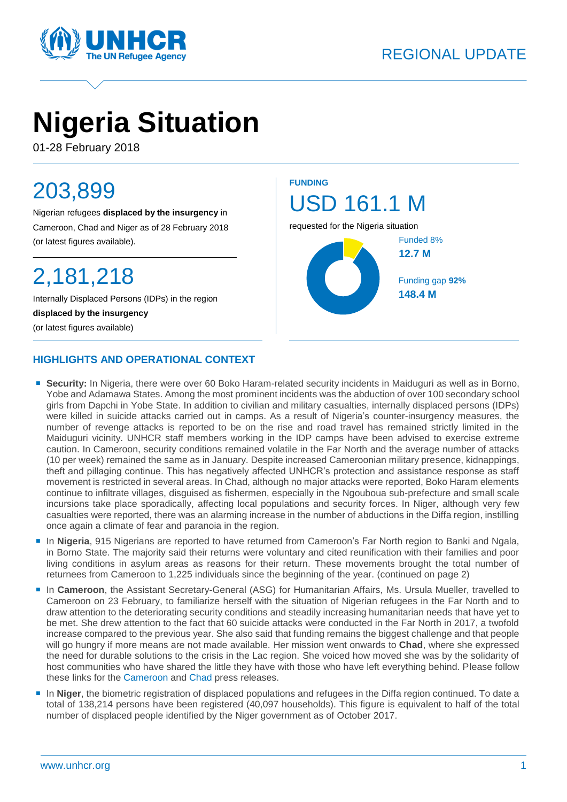

# **Nigeria Situation**

01-28 February 2018

# 203,899

Nigerian refugees **displaced by the insurgency** in Cameroon, Chad and Niger as of 28 February 2018 (or latest figures available).

# 2,181,218

Internally Displaced Persons (IDPs) in the region **displaced by the insurgency** (or latest figures available)

#### **HIGHLIGHTS AND OPERATIONAL CONTEXT**



- **Security:** In Nigeria, there were over 60 Boko Haram-related security incidents in Maiduguri as well as in Borno, Yobe and Adamawa States. Among the most prominent incidents was the abduction of over 100 secondary school girls from Dapchi in Yobe State. In addition to civilian and military casualties, internally displaced persons (IDPs) were killed in suicide attacks carried out in camps. As a result of Nigeria's counter-insurgency measures, the number of revenge attacks is reported to be on the rise and road travel has remained strictly limited in the Maiduguri vicinity. UNHCR staff members working in the IDP camps have been advised to exercise extreme caution. In Cameroon, security conditions remained volatile in the Far North and the average number of attacks (10 per week) remained the same as in January. Despite increased Cameroonian military presence, kidnappings, theft and pillaging continue. This has negatively affected UNHCR's protection and assistance response as staff movement is restricted in several areas. In Chad, although no major attacks were reported, Boko Haram elements continue to infiltrate villages, disguised as fishermen, especially in the Ngouboua sub-prefecture and small scale incursions take place sporadically, affecting local populations and security forces. In Niger, although very few casualties were reported, there was an alarming increase in the number of abductions in the Diffa region, instilling once again a climate of fear and paranoia in the region.
- **In Nigeria**, 915 Nigerians are reported to have returned from Cameroon's Far North region to Banki and Ngala, in Borno State. The majority said their returns were voluntary and cited reunification with their families and poor living conditions in asylum areas as reasons for their return. These movements brought the total number of returnees from Cameroon to 1,225 individuals since the beginning of the year. (continued on page 2)
- **In Cameroon**, the Assistant Secretary-General (ASG) for Humanitarian Affairs, Ms. Ursula Mueller, travelled to Cameroon on 23 February, to familiarize herself with the situation of Nigerian refugees in the Far North and to draw attention to the deteriorating security conditions and steadily increasing humanitarian needs that have yet to be met. She drew attention to the fact that 60 suicide attacks were conducted in the Far North in 2017, a twofold increase compared to the previous year. She also said that funding remains the biggest challenge and that people will go hungry if more means are not made available. Her mission went onwards to **Chad**, where she expressed the need for durable solutions to the crisis in the Lac region. She voiced how moved she was by the solidarity of host communities who have shared the little they have with those who have left everything behind. Please follow these links for the [Cameroon](https://news.un.org/en/story/2018/02/1003602) and [Chad](https://reliefweb.int/sites/reliefweb.int/files/resources/20180227_press_release_-_asg_visit_to_chad_-_english.pdf) press releases.
- **In Niger**, the biometric registration of displaced populations and refugees in the Diffa region continued. To date a total of 138,214 persons have been registered (40,097 households). This figure is equivalent to half of the total number of displaced people identified by the Niger government as of October 2017.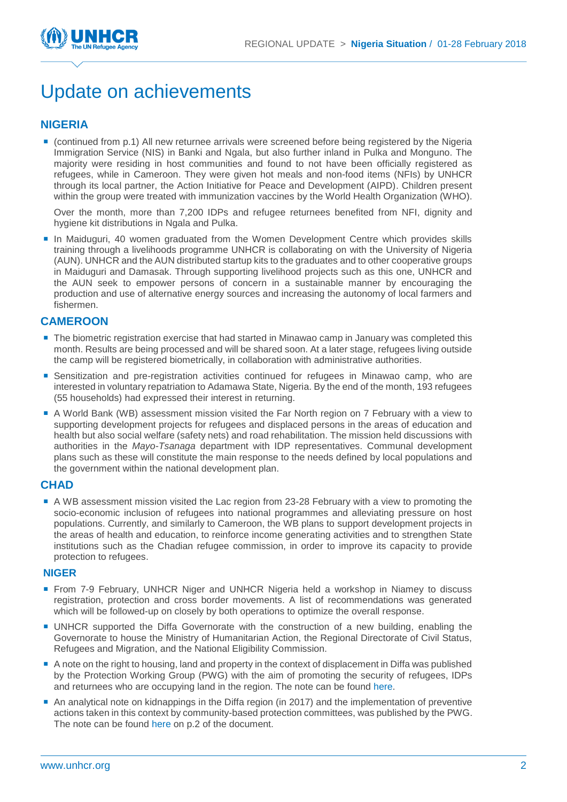

### Update on achievements

#### **NIGERIA**

 (continued from p.1) All new returnee arrivals were screened before being registered by the Nigeria Immigration Service (NIS) in Banki and Ngala, but also further inland in Pulka and Monguno. The majority were residing in host communities and found to not have been officially registered as refugees, while in Cameroon. They were given hot meals and non-food items (NFIs) by UNHCR through its local partner, the Action Initiative for Peace and Development (AIPD). Children present within the group were treated with immunization vaccines by the World Health Organization (WHO).

Over the month, more than 7,200 IDPs and refugee returnees benefited from NFI, dignity and hygiene kit distributions in Ngala and Pulka.

In Maiduguri, 40 women graduated from the Women Development Centre which provides skills training through a livelihoods programme UNHCR is collaborating on with the University of Nigeria (AUN). UNHCR and the AUN distributed startup kits to the graduates and to other cooperative groups in Maiduguri and Damasak. Through supporting livelihood projects such as this one, UNHCR and the AUN seek to empower persons of concern in a sustainable manner by encouraging the production and use of alternative energy sources and increasing the autonomy of local farmers and fishermen.

#### **CAMEROON**

- The biometric registration exercise that had started in Minawao camp in January was completed this month. Results are being processed and will be shared soon. At a later stage, refugees living outside the camp will be registered biometrically, in collaboration with administrative authorities.
- **Sensitization and pre-registration activities continued for refugees in Minawao camp, who are** interested in voluntary repatriation to Adamawa State, Nigeria. By the end of the month, 193 refugees (55 households) had expressed their interest in returning.
- A World Bank (WB) assessment mission visited the Far North region on 7 February with a view to supporting development projects for refugees and displaced persons in the areas of education and health but also social welfare (safety nets) and road rehabilitation. The mission held discussions with authorities in the *Mayo-Tsanaga* department with IDP representatives. Communal development plans such as these will constitute the main response to the needs defined by local populations and the government within the national development plan.

#### **CHAD**

A WB assessment mission visited the Lac region from 23-28 February with a view to promoting the socio-economic inclusion of refugees into national programmes and alleviating pressure on host populations. Currently, and similarly to Cameroon, the WB plans to support development projects in the areas of health and education, to reinforce income generating activities and to strengthen State institutions such as the Chadian refugee commission, in order to improve its capacity to provide protection to refugees.

#### **NIGER**

- From 7-9 February, UNHCR Niger and UNHCR Nigeria held a workshop in Niamey to discuss registration, protection and cross border movements. A list of recommendations was generated which will be followed-up on closely by both operations to optimize the overall response.
- UNHCR supported the Diffa Governorate with the construction of a new building, enabling the Governorate to house the Ministry of Humanitarian Action, the Regional Directorate of Civil Status, Refugees and Migration, and the National Eligibility Commission.
- A note on the right to housing, land and property in the context of displacement in Diffa was published by the Protection Working Group (PWG) with the aim of promoting the security of refugees, IDPs and returnees who are occupying land in the region. The note can be found [here.](http://www.globalprotectioncluster.org/_assets/files/niger_onepagersot_final.pdf)
- An analytical note on kidnappings in the Diffa region (in 2017) and the implementation of preventive actions taken in this context by community-based protection committees, was published by the PWG. The note can be found [here](https://www.humanitarianresponse.info/en/operations/niger/document/niger-bulletin-proetction-f%C3%A9vrier-2018) on p.2 of the document.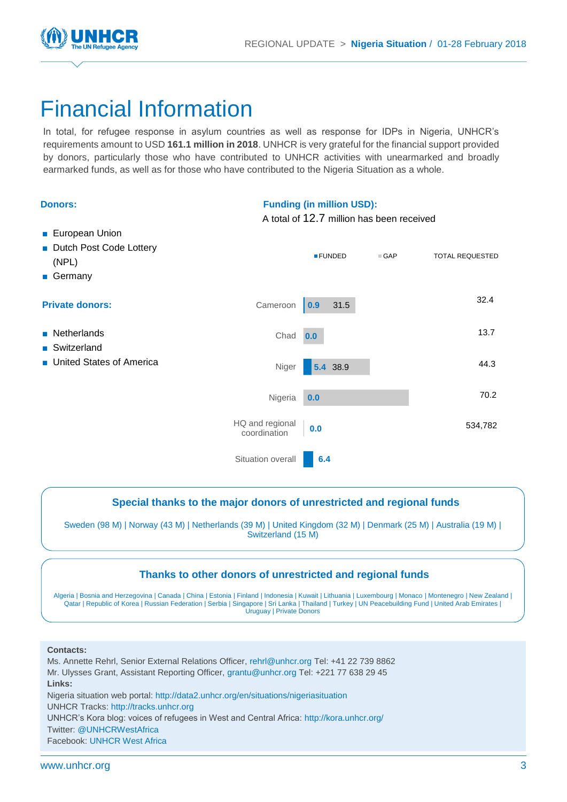

## Financial Information

In total, for refugee response in asylum countries as well as response for IDPs in Nigeria, UNHCR's requirements amount to USD **161.1 million in 2018**. UNHCR is very grateful for the financial support provided by donors, particularly those who have contributed to UNHCR activities with unearmarked and broadly earmarked funds, as well as for those who have contributed to the Nigeria Situation as a whole.

| <b>Donors:</b>                                                       | <b>Funding (in million USD):</b><br>A total of 12.7 million has been received |                |            |                        |
|----------------------------------------------------------------------|-------------------------------------------------------------------------------|----------------|------------|------------------------|
| <b>European Union</b><br>Dutch Post Code Lottery<br>(NPL)<br>Germany |                                                                               | <b>EFUNDED</b> | $\Box$ GAP | <b>TOTAL REQUESTED</b> |
| <b>Private donors:</b>                                               | Cameroon                                                                      | 31.5<br>0.9    |            | 32.4                   |
| • Netherlands<br>■ Switzerland<br>■ United States of America         | Chad                                                                          | 0.0            |            | 13.7                   |
|                                                                      | Niger                                                                         | 5.4 38.9       |            | 44.3                   |
|                                                                      | Nigeria                                                                       | 0.0            |            | 70.2                   |
|                                                                      | HQ and regional<br>coordination                                               | 0.0            |            | 534,782                |
|                                                                      | Situation overall                                                             | 6.4            |            |                        |

#### **Special thanks to the major donors of unrestricted and regional funds**

Sweden (98 M) | Norway (43 M) | Netherlands (39 M) | United Kingdom (32 M) | Denmark (25 M) | Australia (19 M) | Switzerland (15 M)

#### **Thanks to other donors of unrestricted and regional funds**

Algeria | Bosnia and Herzegovina | Canada | China | Estonia | Finland | Indonesia | Kuwait | Lithuania | Luxembourg | Monaco | Montenegro | New Zealand | Qatar | Republic of Korea | Russian Federation | Serbia | Singapore | Sri Lanka | Thailand | Turkey | UN Peacebuilding Fund | United Arab Emirates | Uruguay | Private Donors

#### **Contacts:**

Ms. Annette Rehrl, Senior External Relations Officer, [rehrl@unhcr.org](mailto:rehrl@unhcr.org) Tel: +41 22 739 8862 Mr. Ulysses Grant, Assistant Reporting Officer[, grantu@unhcr.org](mailto:grantu@unhcr.org) Tel: +221 77 638 29 45 **Links:** Nigeria situation web portal:<http://data2.unhcr.org/en/situations/nigeriasituation> UNHCR Tracks[: http://tracks.unhcr.org](http://tracks.unhcr.org/) UNHCR's Kora blog: voices of refugees in West and Central Africa[: http://kora.unhcr.org/](http://kora.unhcr.org/) Twitter[: @UNHCRWestAfrica](https://twitter.com/unhcrwestafrica?lang=en) Facebook: UNHCR [West Africa](https://www.facebook.com/UNHCRWestAfrica/)